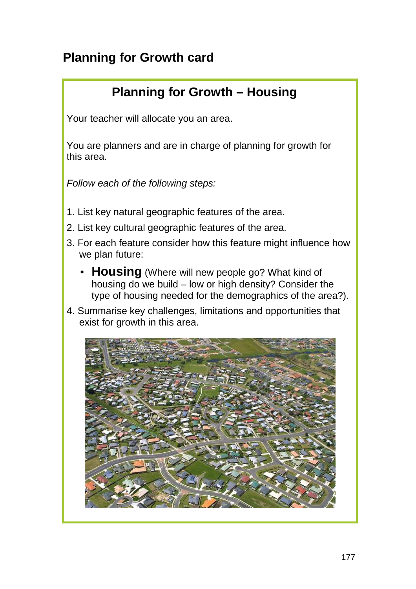## **Planning for Growth card**

## **Planning for Growth – Housing**

Your teacher will allocate you an area.

You are planners and are in charge of planning for growth for this area.

- 1. List key natural geographic features of the area.
- 2. List key cultural geographic features of the area.
- 3. For each feature consider how this feature might influence how we plan future:
	- **Housing** (Where will new people go? What kind of housing do we build – low or high density? Consider the type of housing needed for the demographics of the area?).
- 4. Summarise key challenges, limitations and opportunities that exist for growth in this area.

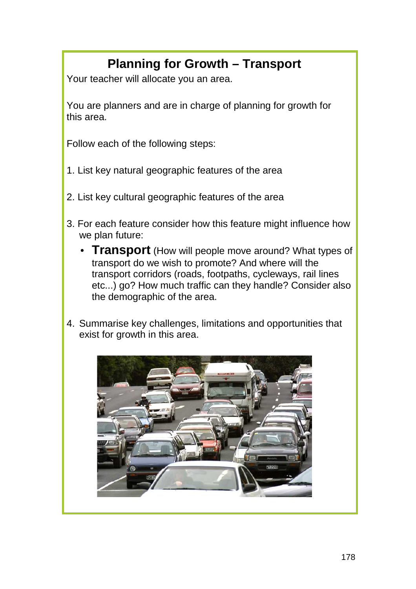# **Planning for Growth – Transport**

Your teacher will allocate you an area.

You are planners and are in charge of planning for growth for this area.

- 1. List key natural geographic features of the area
- 2. List key cultural geographic features of the area
- 3. For each feature consider how this feature might influence how we plan future:
	- **Transport** (How will people move around? What types of transport do we wish to promote? And where will the transport corridors (roads, footpaths, cycleways, rail lines etc...) go? How much traffic can they handle? Consider also the demographic of the area.
- 4. Summarise key challenges, limitations and opportunities that exist for growth in this area.

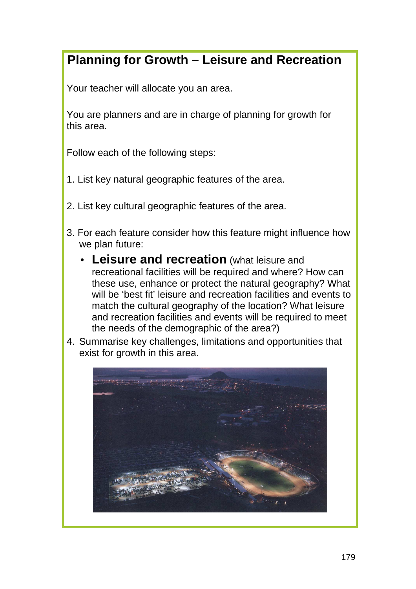#### **Planning for Growth – Leisure and Recreation**

Your teacher will allocate you an area.

You are planners and are in charge of planning for growth for this area.

- 1. List key natural geographic features of the area.
- 2. List key cultural geographic features of the area.
- 3. For each feature consider how this feature might influence how we plan future:
	- **Leisure and recreation** (what leisure and recreational facilities will be required and where? How can these use, enhance or protect the natural geography? What will be 'best fit' leisure and recreation facilities and events to match the cultural geography of the location? What leisure and recreation facilities and events will be required to meet the needs of the demographic of the area?)
- 4. Summarise key challenges, limitations and opportunities that exist for growth in this area.

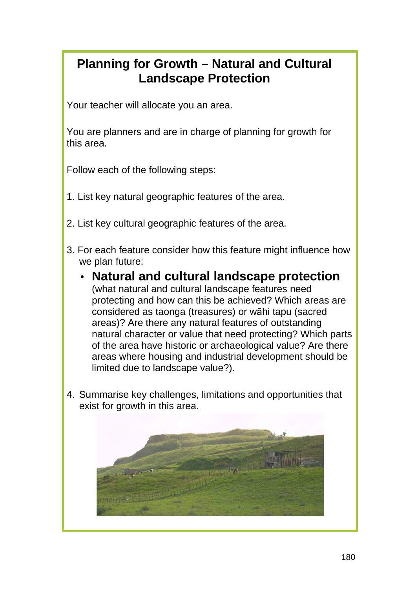### **Planning for Growth – Natural and Cultural Landscape Protection**

Your teacher will allocate you an area.

You are planners and are in charge of planning for growth for this area.

- 1. List key natural geographic features of the area.
- 2. List key cultural geographic features of the area.
- 3. For each feature consider how this feature might influence how we plan future:
	- **Natural and cultural landscape protection** (what natural and cultural landscape features need protecting and how can this be achieved? Which areas are considered as taonga (treasures) or wāhi tapu (sacred areas)? Are there any natural features of outstanding natural character or value that need protecting? Which parts of the area have historic or archaeological value? Are there areas where housing and industrial development should be limited due to landscape value?).
- 4. Summarise key challenges, limitations and opportunities that exist for growth in this area.